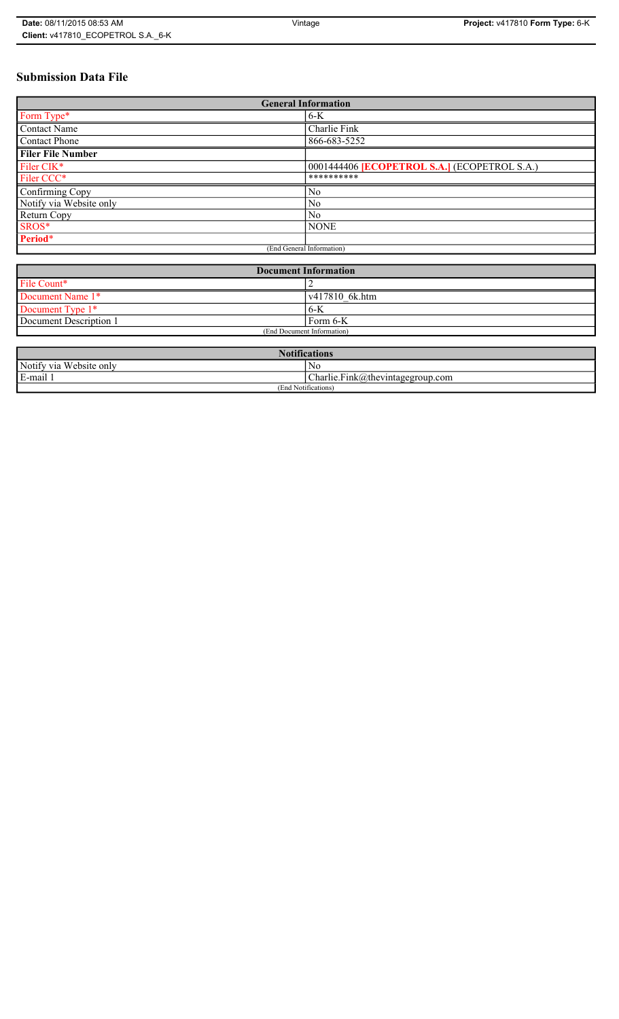# **Submission Data File**

| <b>General Information</b> |                                                     |
|----------------------------|-----------------------------------------------------|
| Form Type*                 | $6-K$                                               |
| Contact Name               | Charlie Fink                                        |
| <b>Contact Phone</b>       | 866-683-5252                                        |
| <b>Filer File Number</b>   |                                                     |
| Filer CIK*                 | 0001444406 <b>[ECOPETROL S.A.]</b> (ECOPETROL S.A.) |
| Filer CCC*                 | **********                                          |
| Confirming Copy            | N <sub>0</sub>                                      |
| Notify via Website only    | N <sub>0</sub>                                      |
| Return Copy                | N <sub>0</sub>                                      |
| SROS*                      | <b>NONE</b>                                         |
| Period*                    |                                                     |
| (End General Information)  |                                                     |

| <b>Document Information</b> |                        |
|-----------------------------|------------------------|
| File Count*                 |                        |
| Document Name 1*            | $\sqrt{417810}$ 6k.htm |
| Document Type 1*            | 6-K                    |
| Document Description 1      | Form 6-K               |
| (End Document Information)  |                        |

| <b>Notifications</b>    |                                  |
|-------------------------|----------------------------------|
| Notify via Website only | No                               |
| E-mail                  | Charlie.Fink@thevintagegroup.com |
| (End Notifications)     |                                  |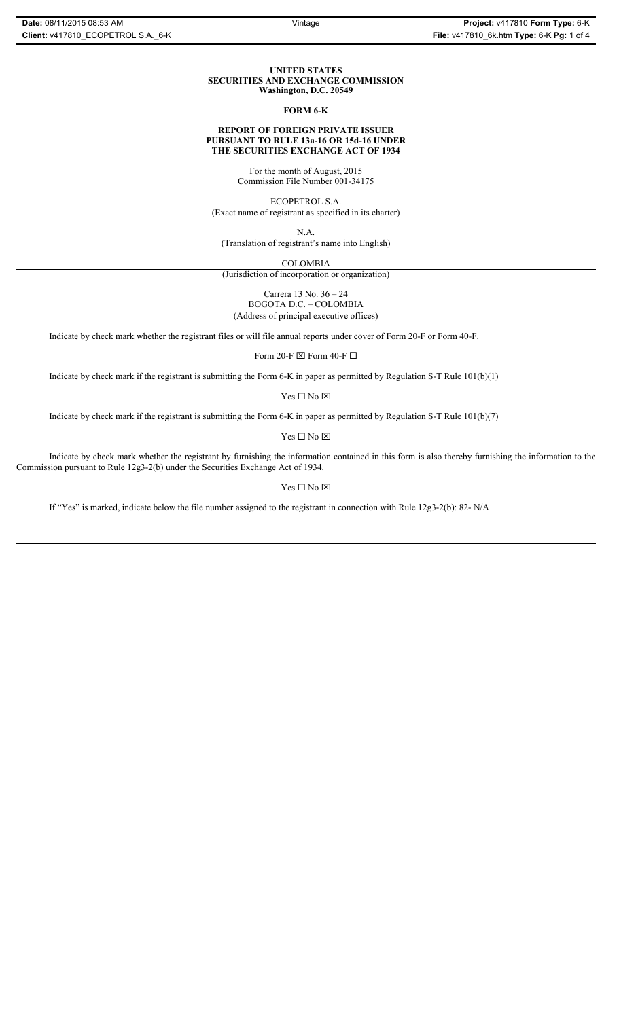#### **UNITED STATES SECURITIES AND EXCHANGE COMMISSION Washington, D.C. 20549**

#### **FORM 6-K**

#### **REPORT OF FOREIGN PRIVATE ISSUER PURSUANT TO RULE 13a-16 OR 15d-16 UNDER THE SECURITIES EXCHANGE ACT OF 1934**

For the month of August, 2015 Commission File Number 001-34175

ECOPETROL S.A.

(Exact name of registrant as specified in its charter)

N.A.

(Translation of registrant's name into English)

COLOMBIA

(Jurisdiction of incorporation or organization)

Carrera 13 No. 36 – 24

BOGOTA D.C. – COLOMBIA

(Address of principal executive offices)

Indicate by check mark whether the registrant files or will file annual reports under cover of Form 20-F or Form 40-F.

Form 20-F  $\boxtimes$  Form 40-F  $\Box$ 

Indicate by check mark if the registrant is submitting the Form 6-K in paper as permitted by Regulation S-T Rule 101(b)(1)

Yes $\Box$  No  $\boxtimes$ 

Indicate by check mark if the registrant is submitting the Form 6-K in paper as permitted by Regulation S-T Rule 101(b)(7)

 $\mathbf{Y}\mathbf{es} \ \Box \ \mathbf{No} \ \overline{\mathbf{\mathbf{\boxtimes}}}$ 

Indicate by check mark whether the registrant by furnishing the information contained in this form is also thereby furnishing the information to the Commission pursuant to Rule 12g3-2(b) under the Securities Exchange Act of 1934.

Yes $\Box$  No  $\boxtimes$ 

If "Yes" is marked, indicate below the file number assigned to the registrant in connection with Rule 12g3-2(b): 82- N/A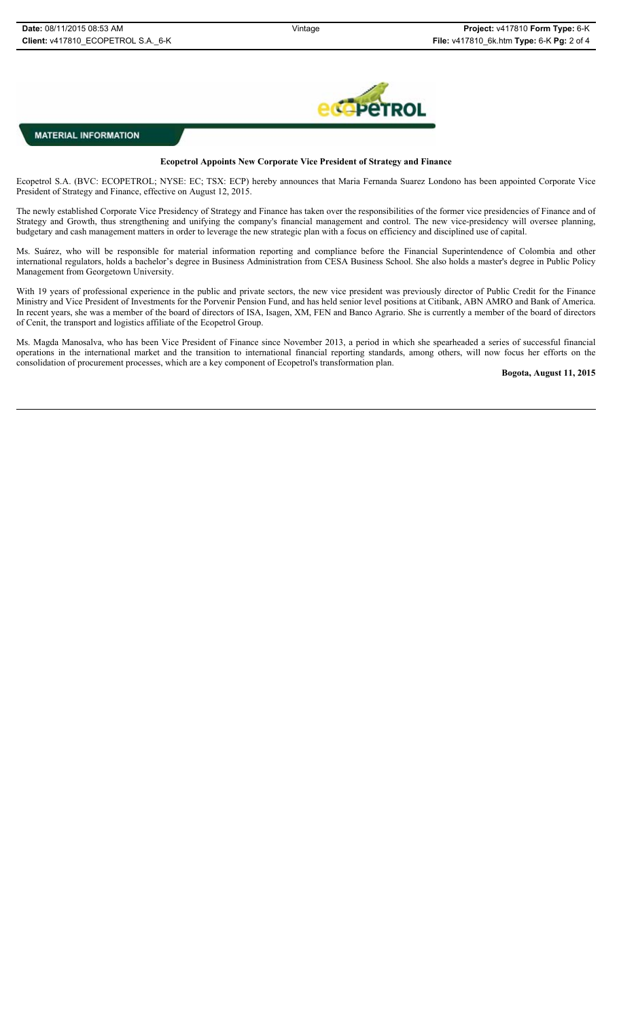

**MATERIAL INFORMATION** 

## **Ecopetrol Appoints New Corporate Vice President of Strategy and Finance**

Ecopetrol S.A. (BVC: ECOPETROL; NYSE: EC; TSX: ECP) hereby announces that Maria Fernanda Suarez Londono has been appointed Corporate Vice President of Strategy and Finance, effective on August 12, 2015.

The newly established Corporate Vice Presidency of Strategy and Finance has taken over the responsibilities of the former vice presidencies of Finance and of Strategy and Growth, thus strengthening and unifying the company's financial management and control. The new vice-presidency will oversee planning, budgetary and cash management matters in order to leverage the new strategic plan with a focus on efficiency and disciplined use of capital.

Ms. Suárez, who will be responsible for material information reporting and compliance before the Financial Superintendence of Colombia and other international regulators, holds a bachelor's degree in Business Administration from CESA Business School. She also holds a master's degree in Public Policy Management from Georgetown University.

With 19 years of professional experience in the public and private sectors, the new vice president was previously director of Public Credit for the Finance Ministry and Vice President of Investments for the Porvenir Pension Fund, and has held senior level positions at Citibank, ABN AMRO and Bank of America. In recent years, she was a member of the board of directors of ISA, Isagen, XM, FEN and Banco Agrario. She is currently a member of the board of directors of Cenit, the transport and logistics affiliate of the Ecopetrol Group.

Ms. Magda Manosalva, who has been Vice President of Finance since November 2013, a period in which she spearheaded a series of successful financial operations in the international market and the transition to international financial reporting standards, among others, will now focus her efforts on the consolidation of procurement processes, which are a key component of Ecopetrol's transformation plan.

**Bogota, August 11, 2015**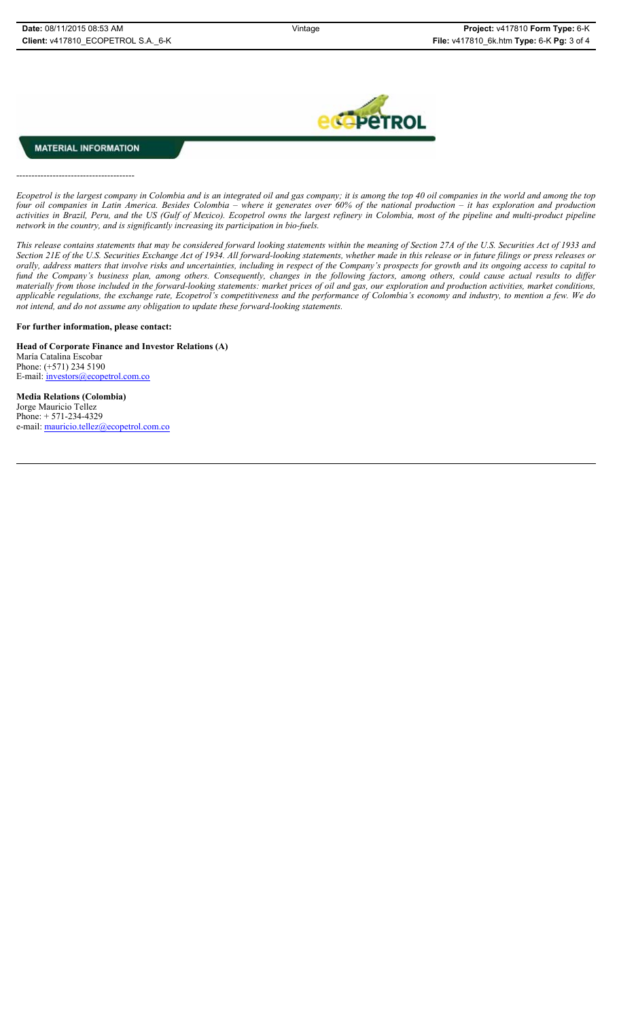

## **MATERIAL INFORMATION**

---------------------------------------

*Ecopetrol is the largest company in Colombia and is an integrated oil and gas company; it is among the top 40 oil companies in the world and among the top four oil companies in Latin America. Besides Colombia – where it generates over 60% of the national production – it has exploration and production* activities in Brazil, Peru, and the US (Gulf of Mexico). Ecopetrol owns the largest refinery in Colombia, most of the pipeline and multi-product pipeline *network in the country, and is significantly increasing its participation in bio-fuels.* 

*This release contains statements that may be considered forward looking statements within the meaning of Section 27A of the U.S. Securities Act of 1933 and* Section 21E of the U.S. Securities Exchange Act of 1934. All forward-looking statements, whether made in this release or in future filings or press releases or *orally, address matters that involve risks and uncertainties, including in respect of the Company's prospects for growth and its ongoing access to capital to fund the Company's business plan, among others. Consequently, changes in the following factors, among others, could cause actual results to differ materially from those included in the forward-looking statements: market prices of oil and gas, our exploration and production activities, market conditions, applicable regulations, the exchange rate, Ecopetrol's competitiveness and the performance of Colombia's economy and industry, to mention a few. We do not intend, and do not assume any obligation to update these forward-looking statements.*

## **For further information, please contact:**

**Head of Corporate Finance and Investor Relations (A)** María Catalina Escobar Phone: (+571) 234 5190 E-mail: *investors@ecopetrol.com.co* 

**Media Relations (Colombia)**  Jorge Mauricio Tellez Phone: + 571-234-4329 e-mail: mauricio.tellez@ecopetrol.com.co